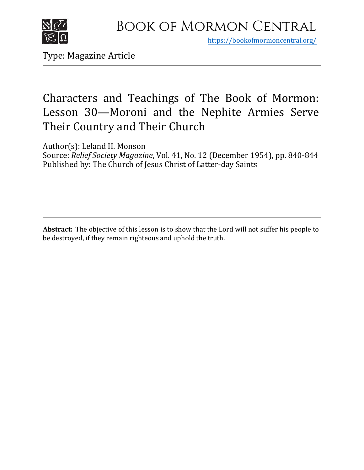

https[://bookofmormoncentral.org/](http://bookofmormoncentral.org/)

Type: Magazine Article

# Characters and Teachings of The Book of Mormon: Lesson 30—Moroni and the Nephite Armies Serve Their Country and Their Church

Author(s): Leland H. Monson

Source: *Relief Society Magazine*, Vol. 41, No. 12 (December 1954), pp. 840-844 Published by: The Church of Jesus Christ of Latter-day Saints

**Abstract:** The objective of this lesson is to show that the Lord will not suffer his people to be destroyed, if they remain righteous and uphold the truth.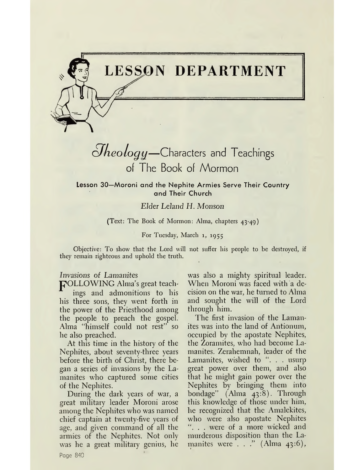

# *oLkeology—*Characters and Teachings of The Book of Mormon

**Lesson 30—Moroni and the Nephite Armies Serve Their Country and Their Church**

## *Elder Leland H. Monson*

## (Text: The Book of Mormon: Alma, chapters 43-49)

#### For Tuesday, March 1, 1955

Objective: To show that the Lord will not suffer his people to be destroyed, if they remain righteous and uphold the truth.

## Invasions of Lamanites

pOLLOWING Alma'<sup>s</sup> great teach-

ings and admonitions to his his three sons, they went forth in the power of the Priesthood among the people to preach the gospel. Alma "himself could not rest" so he also preached.

At this time in the history of the Nephites, about seventy-three years before the birth of Christ, there began a series of invasions by the Lamanites who captured some cities of the Nephites.

During the dark years of war, a great military leader Moroni arose among the Nephites who was named chief captain at twenty-five years of age, and given command of all the armies of the Nephites. Not only was he a great military genius, he

was also a mighty spiritual leader. When Moroni was faced with a decision on the war, he turned to Alma and sought the will of the Lord through him.

The first invasion of the Lamanites was into the land of Antionum, occupied by the apostate Nephites, the Zoramites, who had become Lamanites. Zerahemnah, leader of the Lamanites, wished to ". . . usurp great power over them, and also that he might gain power over the Nephites by bringing them into bondage" (Alma 43:8). Through this knowledge of those under him, he recognized that the Amalekites, who were also apostate Nephites ". . . were of a more wicked and murderous disposition than the Lamanites were  $\ldots$ ." (Alma 43:6),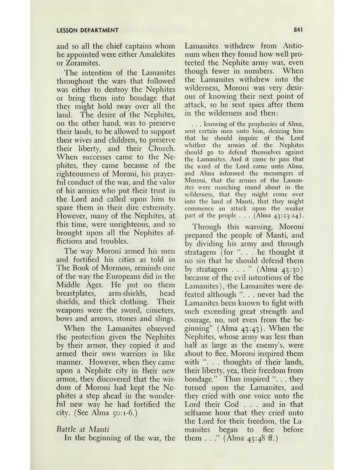and so all the chief captains whom he appointed were either Amalekites or Zoramites.

The intention of the Lamanites throughout the wars that followed was either to destroy the Nephites or bring them into bondage that they might hold sway over all the land. The desire of the Nephites, on the other hand, was to preserve their lands, to be allowed to support their wives and children, to preserve their liberty, and their Church. When successes came to the Nephites, they came because of the righteousness of Moroni, his prayerful conduct of the war, and the valor of his armies who put their trust in the Lord and called upon him to spare them in their dire extremity. However, many of the Nephites, at this time, were unrighteous, and so brought upon all the Nephites afflictions and troubles.

The way Moroni armed his men and fortified his cities as told in The Book of Mormon, reminds one of the way the Europeans did in the Middle Ages. He put on them breastplates, arm-shields, head shields, and thick clothing. Their weapons were the sword, cimeters, bows and arrows, stones and slings.

When the Lamanites observed the protection given the Nephites by their armor, they copied it and armed their own warriors in like manner. However, when they came upon a Nephite city in their new armor, they discovered that the wisdom of Moroni had kept the Nephites a step ahead in the wonderful new way he had fortified the city. (See Alma  $50:1-6$ .)

## *Battle at Manti*

In the beginning of the war, the

Lamanites withdrew from Antionum when they found how well protected the Nephite army was, even though fewer in numbers. When the Lamanites withdrew into the wilderness, Moroni was very desirous of knowing their next point of attack, so he sent spies after them in the wilderness and then:

. . . knowing of the prophecies of Alma, sent certain men unto him, desiring him that he should inquire of the Lord whither the armies of the Nephites should go to defend themselves against the Lamanites. And it came to pass that the word of the Lord came unto Alma, and Alma informed the messengers of Moroni, that the armies of the Lamanites were marching round about in the wilderness, that they might come over into the land of Manti, that they might commence an attack upon the weaker part of the people  $\ldots$  (Alma 43:23-24).

Through this warning, Moroni prepared the people of Manti, and by dividing his army and through stratagem (for ". . . he thought it no sin that he should defend them by stratagem  $\ldots$  " (Alma 43:30) because of the evil intentions of the Lamanites), the Lamanites were defeated although ". . . never had the Lamanites been known to fight with such exceeding great strength and courage, no, not even from the beginning" (Alma 43:43). When the Nephites, whose army was less than half as large as the enemy's, were about to flee, Moroni inspired them with ". . . thoughts of their lands, their liberty, yea, their freedom from bondage." Thus inspired "... they turned upon the Lamanites, and they cried with one voice unto the Lord their God . . . and in that selfsame hour that they cried unto the Lord for their freedom, the Lamanites began to flee before them . . ." (Alma  $43:48 \text{ ff.}$ )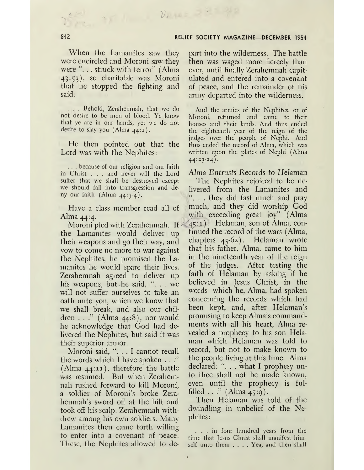When the Lamanites saw they were encircled and Moroni saw they were "... struck with terror" (Alma 43:53), so charitable was Moroni that he stopped the fighting and said:

*/\* /' V.*

. . . Behold, Zerahemnah, that we do not desire to be men of blood. Ye know that ye are in our hands, yet we do not desire to slay you (Alma 44:1).

He then pointed out that the Lord was with the Nephites:

. . . because of our religion and our faith in Christ . . . and never will the Lord suffer that we shall be destroyed except we should fall into transgression and deny our faith (Alma  $44:3-4$ ).

Have a class member read all of Alma 44:4.

Moroni pled with Zerahemnah. If the Lamanites would deliver up their weapons and go their way, and vow to come no more to war against the Nephites, he promised the Lamanites he would spare their lives. Zerahemnah agreed to deliver up his weapons, but he said,  $\ldots$  we will not suffer ourselves to take an oath unto you, which we know that we shall break, and also our children . . ." (Alma 44:8), nor would he acknowledge that God had delivered the Nephites, but said it was their superior armor.

Moroni said, "... <sup>I</sup> cannot recall the words which I have spoken . . ." (Alma 44:11), therefore the battle was resumed. But when Zerahemnah rushed forward to kill Moroni, a soldier of Moroni's broke Zerahemnah's sword off at the hilt and took off his scalp. Zerahemnah withdrew among his own soldiers. Many Lamanites then came forth willing to enter into a covenant of peace. These, the Nephites allowed to de-

part into the wilderness. The battle then was waged more fiercely than ever, until finally Zerahemnah capitulated and entered into a covenant of peace, and the remainder of his army departed into the wilderness.

And the armies of the Nephites, or of Moroni, returned and came to their houses and their lands. And thus ended the eighteenth year of the reign of the judges over the people of Nephi. And thus ended the record of Alma, which was written upon the plates of Nephi (Alma  $44:23-24$ .

Alma Entrusts Records to *Helaman*

The Nephites rejoiced to be delivered from the Lamanites and . . they did fast much and pray much, and they did worship God with exceeding great joy" (Alma 45:1). Helaman, son of Alma, continued the record of the wars (Alma, chapters 45-62). Helaman wrote that his father, Alma, came to him in the nineteenth year of the reign of the judges. After testing the faith of Helaman by asking if he believed in Jesus Christ, in the words which he, Alma, had spoken concerning the records which had been kept, and, after Helaman'<sup>s</sup> promising to keep Alma's commandments with all his heart, Alma revealed a prophecy to his son Helaman which Helaman was told to record, but not to make known to the people living at this time. Alma declared: ". . . what I prophesy unto thee shall not be made known, even until the prophecy is fulfilled  $\ldots$ " (Alma 45:9).

Then Helaman was told of the dwindling in unbelief of the Nephites:

... in four hundred years from the time that Jesus Christ shall manifest himself unto them .... Yea, and then shall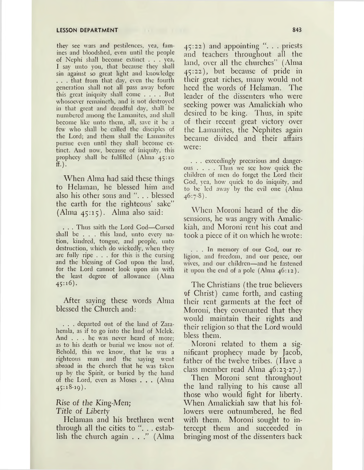they see wars and pestilences, yea, famines and bloodshed, even until the people of Nephi shall become extinct . . . yea, I say unto you, that because they shall sin against so great light and knowledge . . . that from that day, even the fourth generation shall not all pass away before this great iniquity shall come .... But whosoever remaineth, and is not destroyed in that great and dreadful day, shall be numbered among the Lamanites, and shall become like unto them, all, save it be a few who shall be called the disciples of the Lord; and them shall the Lamanites pursue even until they shall become extinct. And now, because of iniquity, this prophecy shall be fulfilled (Alma 45:10  $(f.$ ).

When Alma had said these things to Helaman, he blessed him and also his other sons and ". . . blessed the earth for the righteous' sake" (Alma 45:15). Alma also said:

. . . Thus saith the Lord God—Cursed shall be . . . this land, unto every nation, kindred, tongue, and people, unto destruction, which do wickedly, when they are fully ripe ... for this is the cursing and the blessing of God upon the land, for the Lord cannot look upon sin with the least degree of allowance (Alma 45:16).

After saying these words Alma blessed the Church and:

. . . departed out of the land of Zarahemla, as if to go into the land of Mclck. And ... he was never heard of more; as to his death or burial we know not of. Behold, this we know, that he was a righteous man and the saying went abroad in the church that he was taken up by the Spirit, or buried by the hand of the Lord, even as Moses . . . (Alma  $45:18-19$ ).

## Rise of *the King-Men; Title of Liberty*

Helaman and his brethren went through all the cities to ". . . establish the church again . . ." (Alma 45:22) and appointing ". . . priests and teachers throughout all the land, over all the churches" (Alma 45:22), but because of pride in their great riches, many would not heed the words of Helaman. The leader of the dissenters who were seeking power was Amalickiah who desired to be king. Thus, in spite of their recent great victory over the Lamanites, the Nephites again became divided and their affairs were:

. . . exceedingly precarious and dangerous .... Thus we see how quick the children of men do forget the Lord their God, yea, how quick to do iniquity, and to be led away by the evil one (Alma  $46:7.8$ ).

When Moroni heard of the dissensions, he was angry with Amalickiah, and Moroni rent his coat and took a piece of it on which he wrote:

... In memory of our God, our religion, and freedom, and our peace, our wives, and our children—and he fastened it upon the end of a pole (Alma  $46:12$ ).

The Christians (the true believers of Christ) came forth, and casting their rent garments at the feet of Moroni, they covenanted that they would maintain their rights and their religion so that the Lord would bless them.

Moroni related to them a significant prophecy made by Jacob, father of the twelve tribes. (Have a class member read Alma 46:23-27.)

Then Moroni sent throughout the land rallying to his cause all those who would fight for liberty. When Amalickiah saw that his followers were outnumbered, he fled with them. Moroni sought to intercept them and succeeded in bringing most of the dissenters back